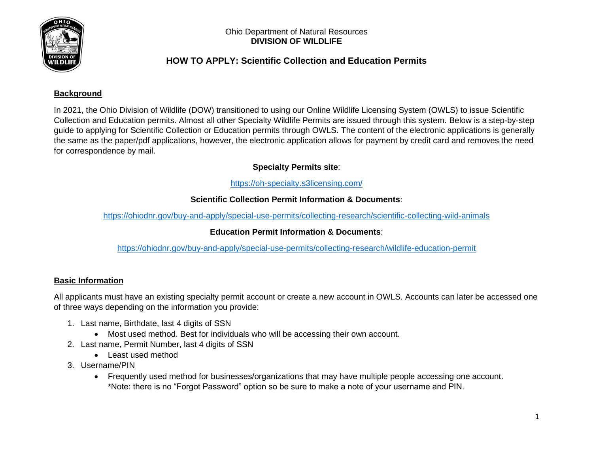

# **HOW TO APPLY: Scientific Collection and Education Permits**

# **Background**

In 2021, the Ohio Division of Wildlife (DOW) transitioned to using our Online Wildlife Licensing System (OWLS) to issue Scientific Collection and Education permits. Almost all other Specialty Wildlife Permits are issued through this system. Below is a step-by-step guide to applying for Scientific Collection or Education permits through OWLS. The content of the electronic applications is generally the same as the paper/pdf applications, however, the electronic application allows for payment by credit card and removes the need for correspondence by mail.

# **Specialty Permits site**:

# <https://oh-specialty.s3licensing.com/>

# **Scientific Collection Permit Information & Documents**:

<https://ohiodnr.gov/buy-and-apply/special-use-permits/collecting-research/scientific-collecting-wild-animals>

# **Education Permit Information & Documents**:

<https://ohiodnr.gov/buy-and-apply/special-use-permits/collecting-research/wildlife-education-permit>

# **Basic Information**

All applicants must have an existing specialty permit account or create a new account in OWLS. Accounts can later be accessed one of three ways depending on the information you provide:

- 1. Last name, Birthdate, last 4 digits of SSN
	- Most used method. Best for individuals who will be accessing their own account.
- 2. Last name, Permit Number, last 4 digits of SSN
	- Least used method
- 3. Username/PIN
	- Frequently used method for businesses/organizations that may have multiple people accessing one account. \*Note: there is no "Forgot Password" option so be sure to make a note of your username and PIN.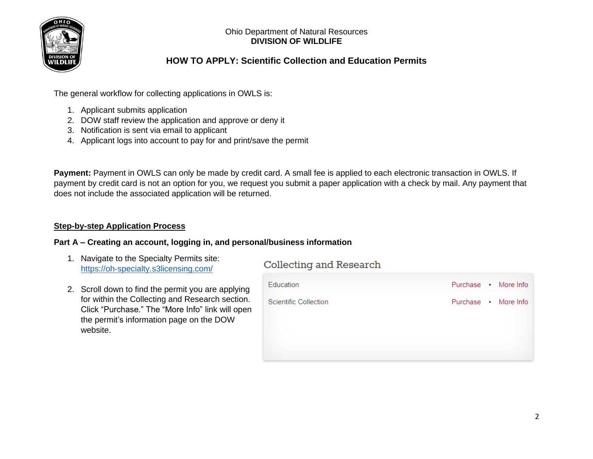

# **HOW TO APPLY: Scientific Collection and Education Permits**

The general workflow for collecting applications in OWLS is:

- 1. Applicant submits application
- 2. DOW staff review the application and approve or deny it
- 3. Notification is sent via email to applicant
- 4. Applicant logs into account to pay for and print/save the permit

**Payment:** Payment in OWLS can only be made by credit card. A small fee is applied to each electronic transaction in OWLS. If payment by credit card is not an option for you, we request you submit a paper application with a check by mail. Any payment that does not include the associated application will be returned.

# **Step-by-step Application Process**

# **Part A – Creating an account, logging in, and personal/business information**

1. Navigate to the Specialty Permits site: <https://oh-specialty.s3licensing.com/>

# **Collecting and Research**

2. Scroll down to find the permit you are applying for within the Collecting and Research section. Click "Purchase." The "More Info" link will open the permit's information page on the DOW website.

| Education                    | Purchase . More Info |
|------------------------------|----------------------|
| <b>Scientific Collection</b> | Purchase . More Info |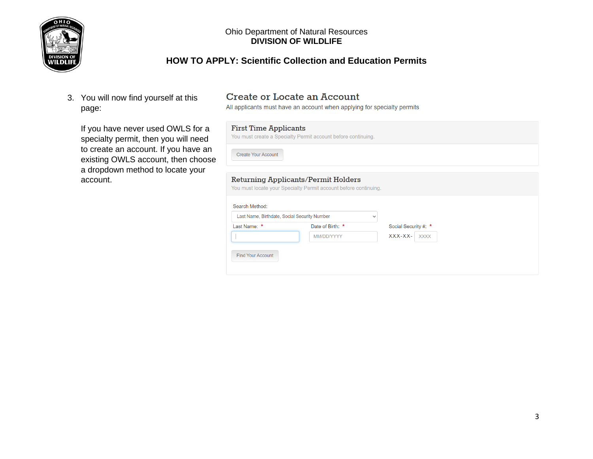

# **HOW TO APPLY: Scientific Collection and Education Permits**

3. You will now find yourself at this page:

If you have never used OWLS for a specialty permit, then you will need to create an account. If you have an existing OWLS account, then choose a dropdown method to locate your account.

# **Create or Locate an Account**

All applicants must have an account when applying for specialty permits

# **First Time Applicants**

You must create a Specialty Permit account before continuing.

**Create Your Account** 

### **Returning Applicants/Permit Holders**

You must locate your Specialty Permit account before continuing.

| Date of Birth: * | Social Security #: *     |
|------------------|--------------------------|
| MM/DD/YYYY       | $XXX-XX-$<br><b>XXXX</b> |
|                  |                          |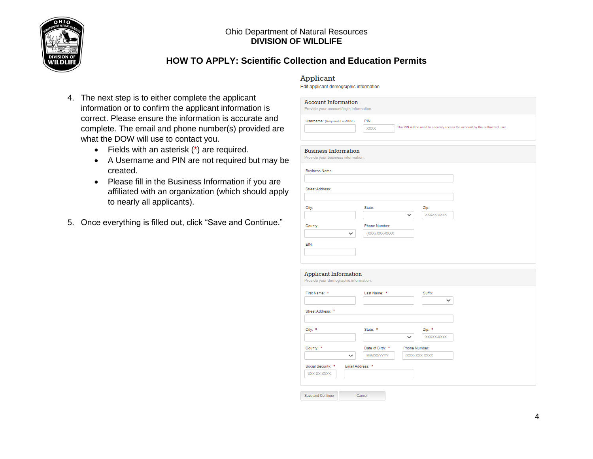

# **HOW TO APPLY: Scientific Collection and Education Permits**

- 4. The next step is to either complete the applicant information or to confirm the applicant information is correct. Please ensure the information is accurate and complete. The email and phone number(s) provided are what the DOW will use to contact you.
	- Fields with an asterisk (\*) are required.
	- A Username and PIN are not required but may be created.
	- Please fill in the Business Information if you are affiliated with an organization (which should apply to nearly all applicants).
- 5. Once everything is filled out, click "Save and Continue."

### Applicant

Edit applicant demographic information

|                                                                                        | PIN:<br><b>XXXX</b> |               |                | The PIN will be used to securely access the account by the authorized user. |
|----------------------------------------------------------------------------------------|---------------------|---------------|----------------|-----------------------------------------------------------------------------|
| <b>Business Information</b><br>Provide your business information.                      |                     |               |                |                                                                             |
| <b>Business Name:</b>                                                                  |                     |               |                |                                                                             |
| Street Address:                                                                        |                     |               |                |                                                                             |
| City:                                                                                  | State:              |               | Zip:           |                                                                             |
|                                                                                        |                     | $\checkmark$  | XXXXX-XXXX     |                                                                             |
| County:                                                                                | Phone Number:       |               |                |                                                                             |
| v                                                                                      | (XXX) XXX-XXXX      |               |                |                                                                             |
| EIN:                                                                                   |                     |               |                |                                                                             |
|                                                                                        |                     |               |                |                                                                             |
|                                                                                        |                     |               |                |                                                                             |
|                                                                                        |                     |               |                |                                                                             |
|                                                                                        |                     |               |                |                                                                             |
|                                                                                        |                     |               |                |                                                                             |
| <b>Applicant Information</b><br>Provide your demographic information.<br>First Name: * | Last Name: *        |               | Suffix:        |                                                                             |
|                                                                                        |                     |               | $\checkmark$   |                                                                             |
|                                                                                        |                     |               |                |                                                                             |
|                                                                                        |                     |               |                |                                                                             |
|                                                                                        | State: *            |               | Zip: *         |                                                                             |
| Street Address: *<br>City: *                                                           |                     | $\checkmark$  | XXXXX-XXXXX    |                                                                             |
| County: *                                                                              | Date of Birth: *    | Phone Number: |                |                                                                             |
| $\checkmark$                                                                           | <b>MM/DD/YYYY</b>   |               | (XXX) XXX-XXXX |                                                                             |
| Social Security: *                                                                     | Email Address: *    |               |                |                                                                             |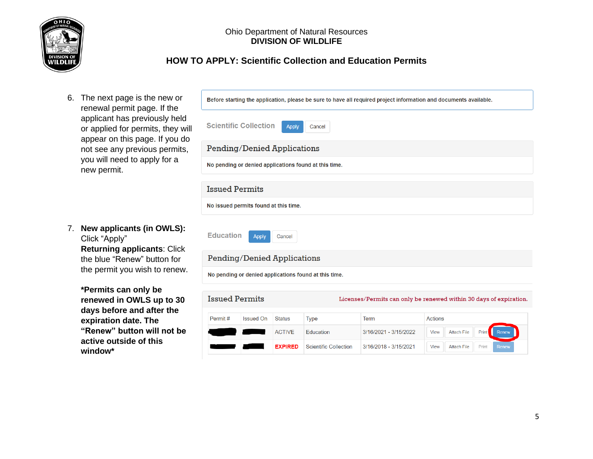

# **HOW TO APPLY: Scientific Collection and Education Permits**

6. The next page is the new or renewal permit page. If the applicant has previously held or applied for permits, they will appear on this page. If you do not see any previous permits, you will need to apply for a new permit.

7. **New applicants (in OWLS):** Click "Apply" **Returning applicants**: Click the blue "Renew" button for the permit you wish to renew.

> **\*Permits can only be renewed in OWLS up to 30 days before and after the expiration date. The "Renew" button will not be active outside of this window\***

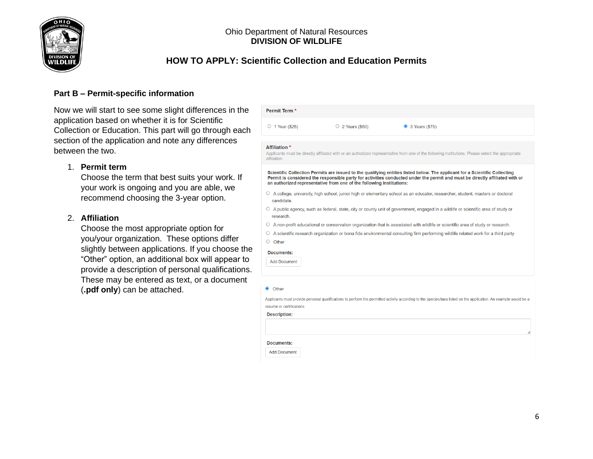

# **HOW TO APPLY: Scientific Collection and Education Permits**

# **Part B – Permit-specific information**

Now we will start to see some slight differences in the application based on whether it is for Scientific Collection or Education. This part will go through each section of the application and note any differences between the two.

## 1. **Permit term**

Choose the term that best suits your work. If your work is ongoing and you are able, we recommend choosing the 3-year option.

### 2. **Affiliation**

Choose the most appropriate option for you/your organization. These options differ slightly between applications. If you choose the "Other" option, an additional box will appear to provide a description of personal qualifications. These may be entered as text, or a document (**.pdf only**) can be attached.

| $\circ$ 1 Year (\$25)                | $\circ$ 2 Years (\$50)                                               | 3 Years (\$75)                                                                                                                                                                                                                                              |
|--------------------------------------|----------------------------------------------------------------------|-------------------------------------------------------------------------------------------------------------------------------------------------------------------------------------------------------------------------------------------------------------|
| <b>Affiliation *</b><br>affiliation. |                                                                      | Applicants must be directly affiliated with or an authorized representative from one of the following institutions. Please select the appropriate                                                                                                           |
|                                      | an authorized representative from one of the following institutions: | Scientific Collection Permits are issued to the qualifying entities listed below. The applicant for a Scientific Collecting<br>Permit is considered the responsible party for activities conducted under the permit and must be directly affiliated with or |
| candidate.                           |                                                                      | ○ A college, university, high school, junior high or elementary school as an educator, researcher, student, masters or doctoral                                                                                                                             |
| research.                            |                                                                      | $\circ$ A public agency, such as federal, state, city or county unit of government, engaged in a wildlife or scientific area of study or                                                                                                                    |
| O                                    |                                                                      | A non-profit educational or conservation organization that is associated with wildlife or scientific area of study or research.                                                                                                                             |
| O                                    |                                                                      | A scientific research organization or bona fide environmental consulting firm performing wildlife related work for a third party.                                                                                                                           |
| Other<br>0                           |                                                                      |                                                                                                                                                                                                                                                             |
| Documents:                           |                                                                      |                                                                                                                                                                                                                                                             |
| <b>Add Document</b>                  |                                                                      |                                                                                                                                                                                                                                                             |
| <b>O</b> Other                       |                                                                      |                                                                                                                                                                                                                                                             |
| resume or certifications.            |                                                                      | Applicants must provide personal qualifications to perform the permitted activity according to the species/taxa listed on the application. An example would be a                                                                                            |
| <b>Description:</b>                  |                                                                      |                                                                                                                                                                                                                                                             |
|                                      |                                                                      |                                                                                                                                                                                                                                                             |
|                                      |                                                                      |                                                                                                                                                                                                                                                             |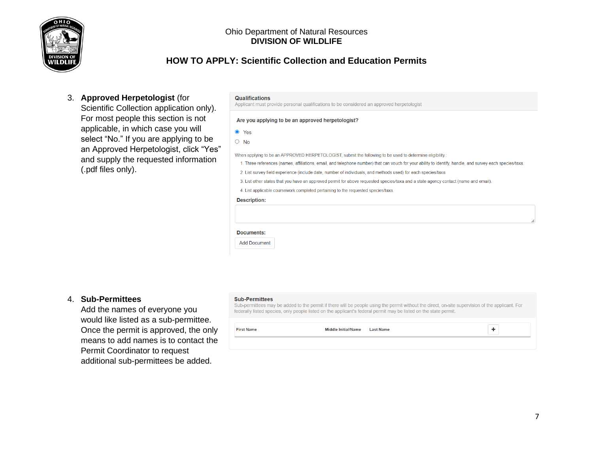

# **HOW TO APPLY: Scientific Collection and Education Permits**

## 3. **Approved Herpetologist** (for

Scientific Collection application only). For most people this section is not applicable, in which case you will select "No." If you are applying to be an Approved Herpetologist, click "Yes" and supply the requested information (.pdf files only).

#### **Qualifications**

Applicant must provide personal qualifications to be considered an approved herpetologist

#### Are you applying to be an approved herpetologist?

**O** Yes

 $\circ$  No

When applying to be an APPROVED HERPETOLOGIST, submit the following to be used to determine eligibility.

- 1. Three references (names, affiliations, email, and telephone number) that can vouch for your ability to identify, handle, and survey each species/taxa.
- 2. List survey field experience (include date, number of individuals, and methods used) for each species/taxa
- 3. List other states that you have an approved permit for above requested species/taxa and a state agency contact (name and email).

4. List applicable coursework completed pertaining to the requested species/taxa.

#### **Description:**

|  | Documents |  |  |
|--|-----------|--|--|

**Add Document** 

### 4. **Sub-Permittees**

Add the names of everyone you would like listed as a sub-permittee. Once the permit is approved, the only means to add names is to contact the Permit Coordinator to request additional sub-permittees be added.

#### **Sub-Permittees**

**First Name** 

Sub-permittees may be added to the permit if there will be people using the permit without the direct, on-site supervision of the applicant. For federally listed species, only people listed on the applicant's federal permit may be listed on the state permit.

> Middle Initial/Name **Last Name**

 $\pm$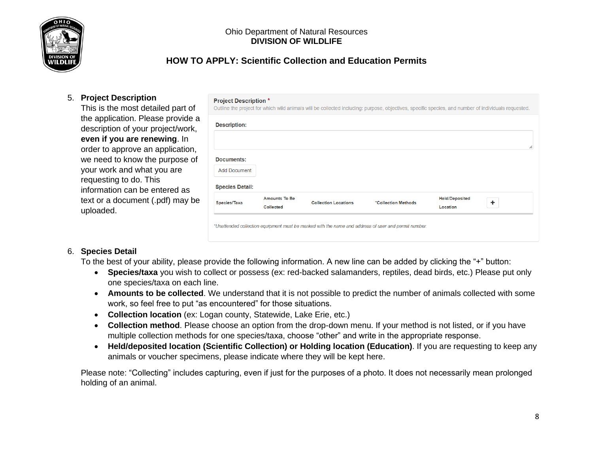

# **HOW TO APPLY: Scientific Collection and Education Permits**

**Project Description \*** 

# 5. **Project Description**

This is the most detailed part of the application. Please provide a description of your project/work, **even if you are renewing**. In order to approve an application, we need to know the purpose of your work and what you are requesting to do. This information can be entered as text or a document (.pdf) may be uploaded.

|                        | <b>Amounts To Be</b> | *Collection Methods | <b>Held/Deposited</b> | ٠ |
|------------------------|----------------------|---------------------|-----------------------|---|
| <b>Species Detail:</b> |                      |                     |                       |   |
| <b>Add Document</b>    |                      |                     |                       |   |
| Documents:             |                      |                     |                       |   |
| <b>Description:</b>    |                      |                     |                       |   |

# 6. **Species Detail**

To the best of your ability, please provide the following information. A new line can be added by clicking the "+" button:

- **Species/taxa** you wish to collect or possess (ex: red-backed salamanders, reptiles, dead birds, etc.) Please put only one species/taxa on each line.
- **Amounts to be collected**. We understand that it is not possible to predict the number of animals collected with some work, so feel free to put "as encountered" for those situations.
- **Collection location** (ex: Logan county, Statewide, Lake Erie, etc.)
- **Collection method**. Please choose an option from the drop-down menu. If your method is not listed, or if you have multiple collection methods for one species/taxa, choose "other" and write in the appropriate response.
- **Held/deposited location (Scientific Collection) or Holding location (Education)**. If you are requesting to keep any animals or voucher specimens, please indicate where they will be kept here.

Please note: "Collecting" includes capturing, even if just for the purposes of a photo. It does not necessarily mean prolonged holding of an animal.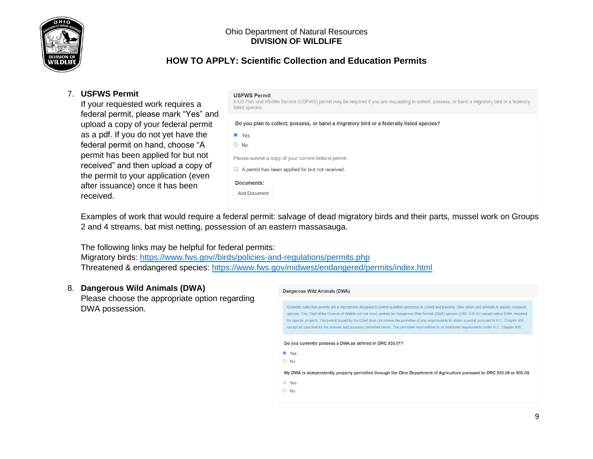

# **HOW TO APPLY: Scientific Collection and Education Permits**

# 7. **USFWS Permit**

If your requested work requires a federal permit, please mark "Yes" and upload a copy of your federal permit as a pdf. If you do not yet have the federal permit on hand, choose "A permit has been applied for but not received" and then upload a copy of the permit to your application (even after issuance) once it has been received.

### **USFWS Permit**

A US Fish and Wildlife Service (USFWS) permit may be required if you are requesting to collect, possess, or band a migratory bird or a federally listed species.

Do you plan to collect, possess, or band a migratory bird or a federally listed species?

| I<br>۰.<br>v | × |
|--------------|---|
|              |   |

 $\circ$  No

Please submit a copy of your current federal permit.

 $\Box$  A permit has been applied for but not received.

| Documents: |
|------------|
|            |

**Add Document** 

Examples of work that would require a federal permit: salvage of dead migratory birds and their parts, mussel work on Groups 2 and 4 streams, bat mist netting, possession of an eastern massasauga.

The following links may be helpful for federal permits:

Migratory birds: [https://www.fws.gov//birds/policies-and-regulations/permits.php](https://www.fws.gov/birds/policies-and-regulations/permits.php) Threatened & endangered species:<https://www.fws.gov/midwest/endangered/permits/index.html>

# 8. **Dangerous Wild Animals (DWA)**

Please choose the appropriate option regarding DWA possession.

#### Dangerous Wild Animals (DWA)

Scientific collection permits are a mechanism designed to permit qualified personnel to collect and possess Ohio native wild animals or aquatic nuisance species. The Chief of the Division of Wildlife will not issue permits for Dangerous Wild Animal (DWA) species (ORC 935.01) except native DWA, required for specific projects. The permit issued by the Chief does not relieve the permittee of any responsibility to obtain a permit pursuant to R.C. Chapter 935 except as specified for the animals and purposes permitted herein. The permittee must adhere to all additional requirements under R.C. Chapter 935.

Do you currently possess a DWA as defined in ORC 935.01?

● Yes

 $\circ$  No

My DWA is independently properly permitted through the Ohio Department of Agriculture pursuant to ORC 935.06 or 935.08.

- $\circ$  Yes
- $\circ$  No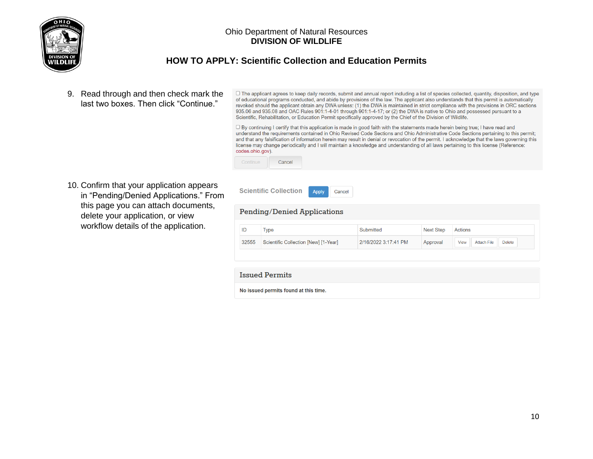

# **HOW TO APPLY: Scientific Collection and Education Permits**

Apply

Cancel

9. Read through and then check mark the last two boxes. Then click "Continue."

O The applicant agrees to keep daily records, submit and annual report including a list of species collected, quantity, disposition, and type of educational programs conducted, and abide by provisions of the law. The applicant also understands that this permit is automatically revoked should the applicant obtain any DWA unless: (1) the DWA is maintained in strict compliance with the provisions in ORC sections 935.06 and 935.08 and OAC Rules 901:1-4-01 through 901:1-4-17; or (2) the DWA is native to Ohio and possessed pursuant to a Scientific, Rehabilitation, or Education Permit specifically approved by the Chief of the Division of Wildlife.

□ By continuing I certify that this application is made in good faith with the statements made herein being true; I have read and understand the requirements contained in Ohio Revised Code Sections and Ohio Administrative Code Sections pertaining to this permit; and that any falsification of information herein may result in denial or revocation of the permit. I acknowledge that the laws governing this license may change periodically and I will maintain a knowledge and understanding of all laws pertaining to this license (Reference: codes.ohio.gov).

| Continu | Cancel |
|---------|--------|
|         |        |

**Scientific Collection** 

10. Confirm that your application appears in "Pending/Denied Applications." From this page you can attach documents, delete your application, or view workflow details of the application.

| ID<br><b>Next Step</b><br>Actions<br>Submitted<br><b>Type</b>                                                   |               |
|-----------------------------------------------------------------------------------------------------------------|---------------|
| 2/16/2022 3:17:41 PM<br>32555<br>Scientific Collection [New] [1-Year]<br>Approval<br><b>Attach File</b><br>View | <b>Delete</b> |
|                                                                                                                 |               |